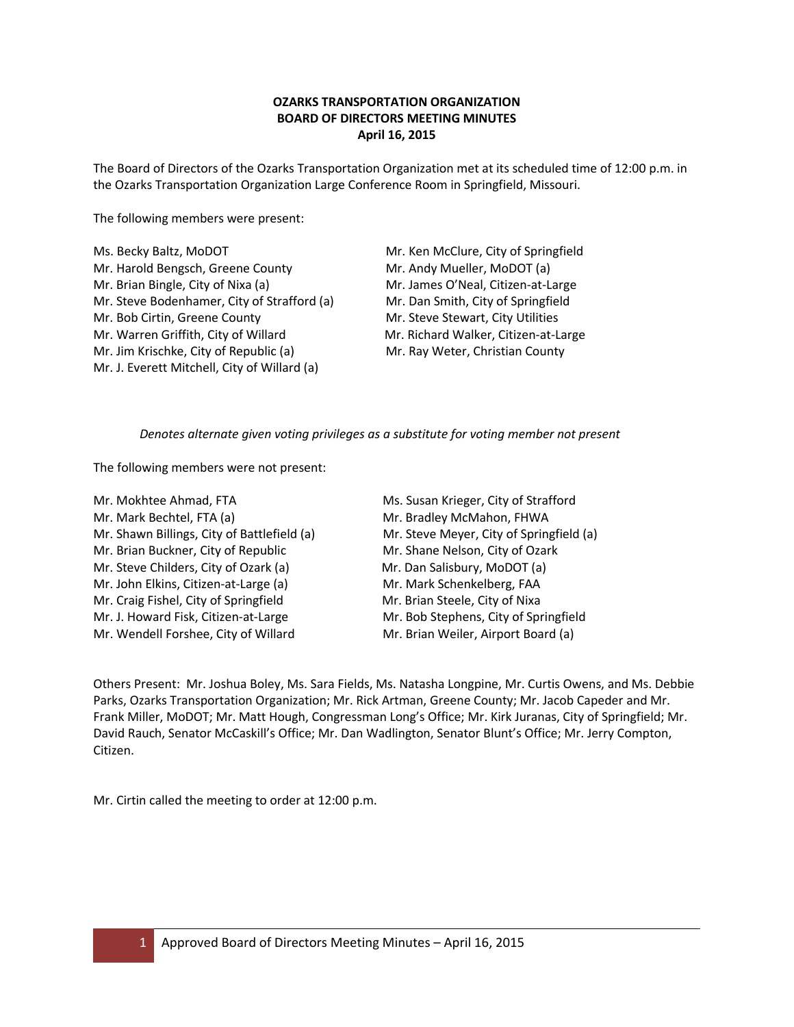# **OZARKS TRANSPORTATION ORGANIZATION BOARD OF DIRECTORS MEETING MINUTES April 16, 2015**

The Board of Directors of the Ozarks Transportation Organization met at its scheduled time of 12:00 p.m. in the Ozarks Transportation Organization Large Conference Room in Springfield, Missouri.

The following members were present:

| Ms. Becky Baltz, MoDOT                       | Mr. |
|----------------------------------------------|-----|
| Mr. Harold Bengsch, Greene County            | Mr. |
| Mr. Brian Bingle, City of Nixa (a)           | Mr. |
| Mr. Steve Bodenhamer, City of Strafford (a)  | Mr. |
| Mr. Bob Cirtin, Greene County                | Mr. |
| Mr. Warren Griffith, City of Willard         | Mr. |
| Mr. Jim Krischke, City of Republic (a)       | Mr. |
| Mr. J. Everett Mitchell, City of Willard (a) |     |

Ken McClure, City of Springfield Andy Mueller, MoDOT (a) James O'Neal, Citizen-at-Large Dan Smith, City of Springfield Steve Stewart, City Utilities Richard Walker, Citizen-at-Large Ray Weter, Christian County

# *Denotes alternate given voting privileges as a substitute for voting member not present*

The following members were not present:

- Mr. Mokhtee Ahmad, FTA Ms. Susan Krieger, City of Strafford Mr. Mark Bechtel, FTA (a) Mr. Bradley McMahon, FHWA Mr. Shawn Billings, City of Battlefield (a) Mr. Steve Meyer, City of Springfield (a) Mr. Brian Buckner, City of Republic Mr. Shane Nelson, City of Ozark Mr. Steve Childers, City of Ozark (a) Mr. Dan Salisbury, MoDOT (a) Mr. John Elkins, Citizen-at-Large (a) Mr. Mark Schenkelberg, FAA Mr. Craig Fishel, City of Springfield Mr. Brian Steele, City of Nixa Mr. J. Howard Fisk, Citizen-at-Large Mr. Bob Stephens, City of Springfield Mr. Wendell Forshee, City of Willard Mr. Brian Weiler, Airport Board (a)
- 

Others Present: Mr. Joshua Boley, Ms. Sara Fields, Ms. Natasha Longpine, Mr. Curtis Owens, and Ms. Debbie Parks, Ozarks Transportation Organization; Mr. Rick Artman, Greene County; Mr. Jacob Capeder and Mr. Frank Miller, MoDOT; Mr. Matt Hough, Congressman Long's Office; Mr. Kirk Juranas, City of Springfield; Mr. David Rauch, Senator McCaskill's Office; Mr. Dan Wadlington, Senator Blunt's Office; Mr. Jerry Compton, Citizen.

Mr. Cirtin called the meeting to order at 12:00 p.m.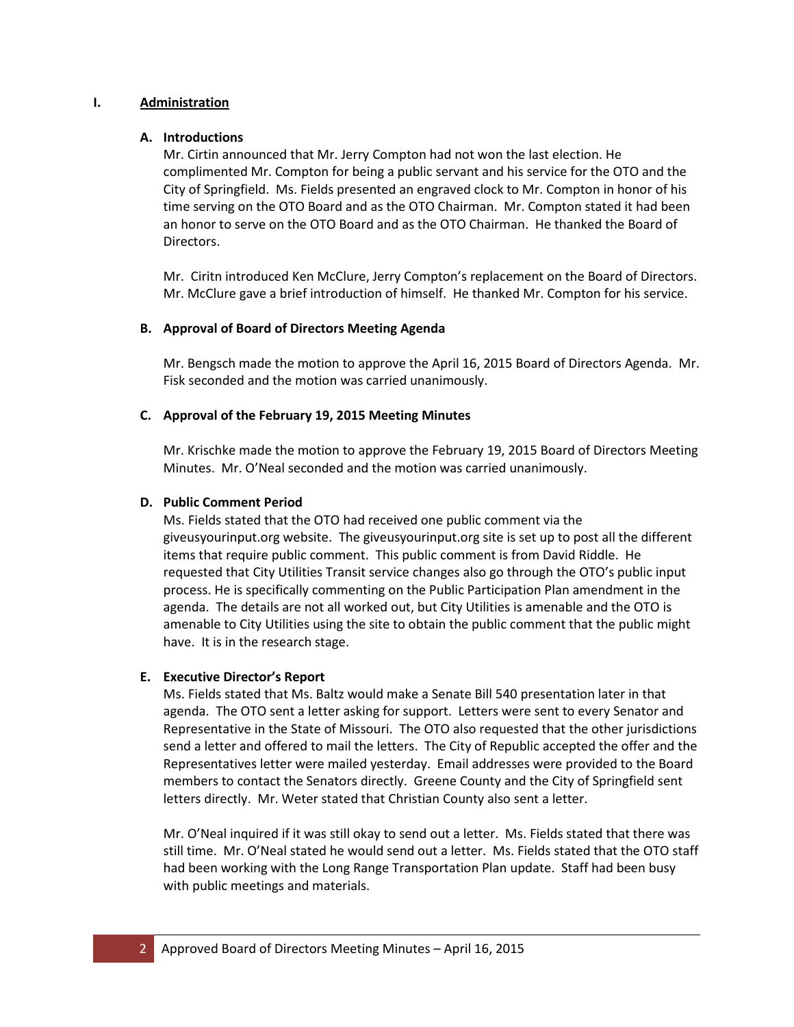#### **I. Administration**

# **A. Introductions**

Mr. Cirtin announced that Mr. Jerry Compton had not won the last election. He complimented Mr. Compton for being a public servant and his service for the OTO and the City of Springfield. Ms. Fields presented an engraved clock to Mr. Compton in honor of his time serving on the OTO Board and as the OTO Chairman. Mr. Compton stated it had been an honor to serve on the OTO Board and as the OTO Chairman. He thanked the Board of Directors.

Mr. Ciritn introduced Ken McClure, Jerry Compton's replacement on the Board of Directors. Mr. McClure gave a brief introduction of himself. He thanked Mr. Compton for his service.

# **B. Approval of Board of Directors Meeting Agenda**

Mr. Bengsch made the motion to approve the April 16, 2015 Board of Directors Agenda. Mr. Fisk seconded and the motion was carried unanimously.

# **C. Approval of the February 19, 2015 Meeting Minutes**

Mr. Krischke made the motion to approve the February 19, 2015 Board of Directors Meeting Minutes. Mr. O'Neal seconded and the motion was carried unanimously.

# **D. Public Comment Period**

Ms. Fields stated that the OTO had received one public comment via the giveusyourinput.org website. The giveusyourinput.org site is set up to post all the different items that require public comment. This public comment is from David Riddle. He requested that City Utilities Transit service changes also go through the OTO's public input process. He is specifically commenting on the Public Participation Plan amendment in the agenda. The details are not all worked out, but City Utilities is amenable and the OTO is amenable to City Utilities using the site to obtain the public comment that the public might have. It is in the research stage.

# **E. Executive Director's Report**

Ms. Fields stated that Ms. Baltz would make a Senate Bill 540 presentation later in that agenda. The OTO sent a letter asking for support. Letters were sent to every Senator and Representative in the State of Missouri. The OTO also requested that the other jurisdictions send a letter and offered to mail the letters. The City of Republic accepted the offer and the Representatives letter were mailed yesterday. Email addresses were provided to the Board members to contact the Senators directly. Greene County and the City of Springfield sent letters directly. Mr. Weter stated that Christian County also sent a letter.

Mr. O'Neal inquired if it was still okay to send out a letter. Ms. Fields stated that there was still time. Mr. O'Neal stated he would send out a letter. Ms. Fields stated that the OTO staff had been working with the Long Range Transportation Plan update. Staff had been busy with public meetings and materials.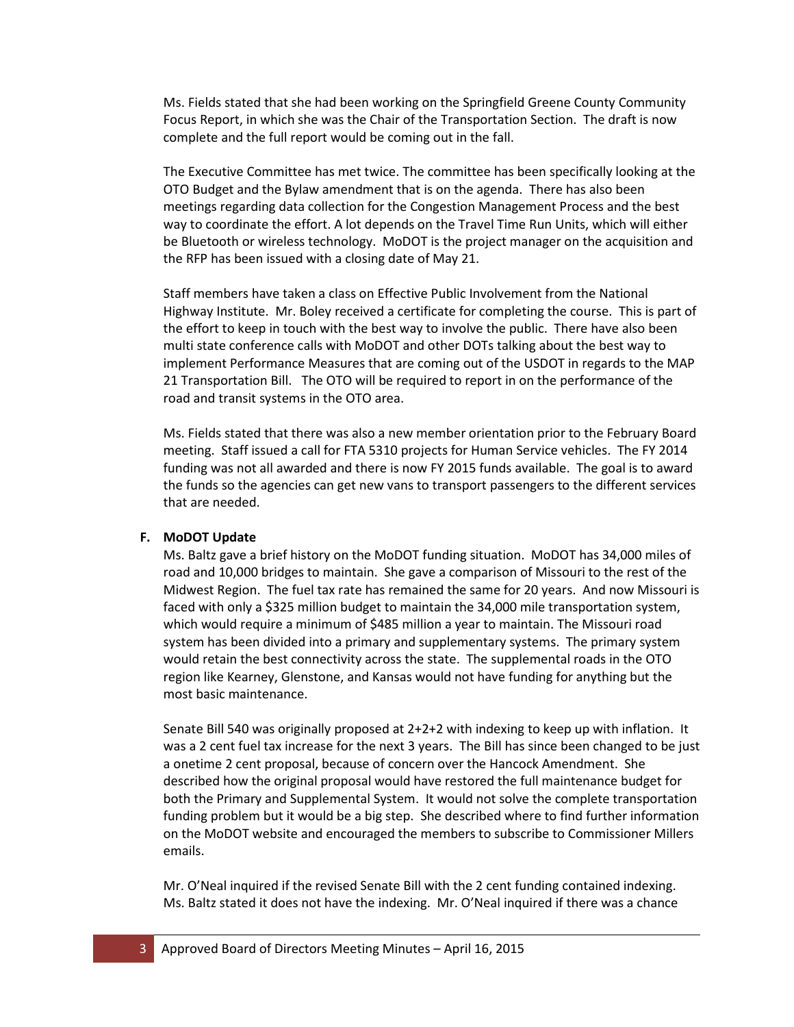Ms. Fields stated that she had been working on the Springfield Greene County Community Focus Report, in which she was the Chair of the Transportation Section. The draft is now complete and the full report would be coming out in the fall.

The Executive Committee has met twice. The committee has been specifically looking at the OTO Budget and the Bylaw amendment that is on the agenda. There has also been meetings regarding data collection for the Congestion Management Process and the best way to coordinate the effort. A lot depends on the Travel Time Run Units, which will either be Bluetooth or wireless technology. MoDOT is the project manager on the acquisition and the RFP has been issued with a closing date of May 21.

Staff members have taken a class on Effective Public Involvement from the National Highway Institute. Mr. Boley received a certificate for completing the course. This is part of the effort to keep in touch with the best way to involve the public. There have also been multi state conference calls with MoDOT and other DOTs talking about the best way to implement Performance Measures that are coming out of the USDOT in regards to the MAP 21 Transportation Bill. The OTO will be required to report in on the performance of the road and transit systems in the OTO area.

Ms. Fields stated that there was also a new member orientation prior to the February Board meeting. Staff issued a call for FTA 5310 projects for Human Service vehicles. The FY 2014 funding was not all awarded and there is now FY 2015 funds available. The goal is to award the funds so the agencies can get new vans to transport passengers to the different services that are needed.

#### **F. MoDOT Update**

Ms. Baltz gave a brief history on the MoDOT funding situation. MoDOT has 34,000 miles of road and 10,000 bridges to maintain. She gave a comparison of Missouri to the rest of the Midwest Region. The fuel tax rate has remained the same for 20 years. And now Missouri is faced with only a \$325 million budget to maintain the 34,000 mile transportation system, which would require a minimum of \$485 million a year to maintain. The Missouri road system has been divided into a primary and supplementary systems. The primary system would retain the best connectivity across the state. The supplemental roads in the OTO region like Kearney, Glenstone, and Kansas would not have funding for anything but the most basic maintenance.

Senate Bill 540 was originally proposed at 2+2+2 with indexing to keep up with inflation. It was a 2 cent fuel tax increase for the next 3 years. The Bill has since been changed to be just a onetime 2 cent proposal, because of concern over the Hancock Amendment. She described how the original proposal would have restored the full maintenance budget for both the Primary and Supplemental System. It would not solve the complete transportation funding problem but it would be a big step. She described where to find further information on the MoDOT website and encouraged the members to subscribe to Commissioner Millers emails.

Mr. O'Neal inquired if the revised Senate Bill with the 2 cent funding contained indexing. Ms. Baltz stated it does not have the indexing. Mr. O'Neal inquired if there was a chance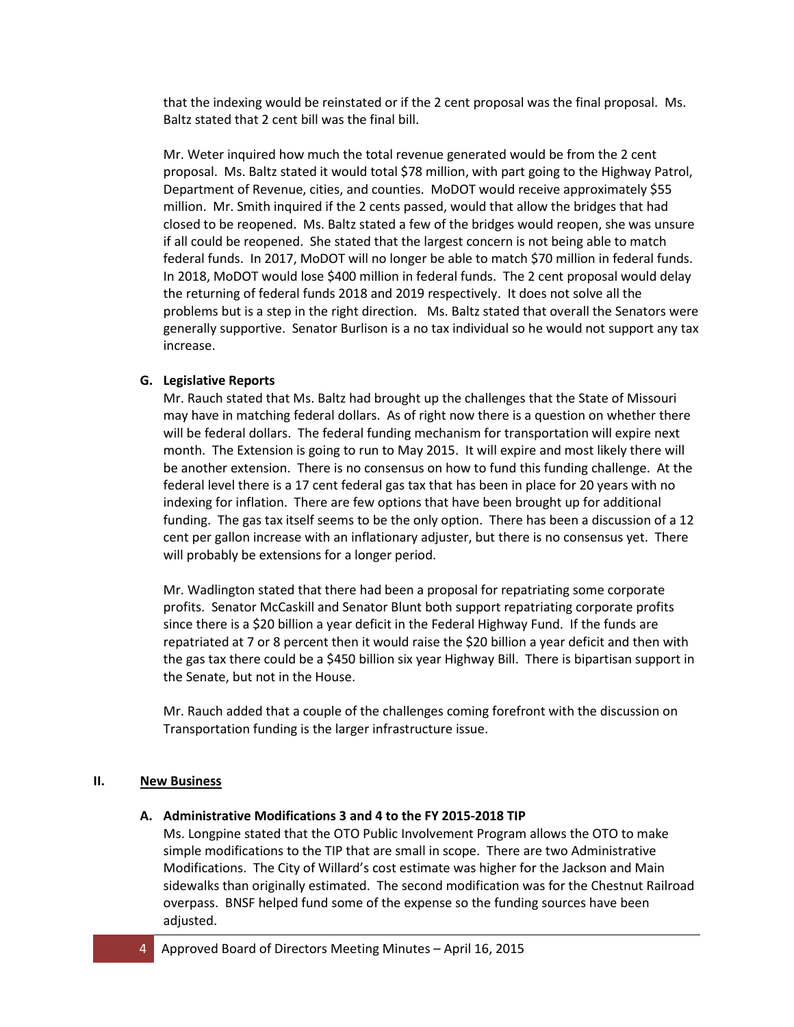that the indexing would be reinstated or if the 2 cent proposal was the final proposal. Ms. Baltz stated that 2 cent bill was the final bill.

Mr. Weter inquired how much the total revenue generated would be from the 2 cent proposal. Ms. Baltz stated it would total \$78 million, with part going to the Highway Patrol, Department of Revenue, cities, and counties. MoDOT would receive approximately \$55 million. Mr. Smith inquired if the 2 cents passed, would that allow the bridges that had closed to be reopened. Ms. Baltz stated a few of the bridges would reopen, she was unsure if all could be reopened. She stated that the largest concern is not being able to match federal funds. In 2017, MoDOT will no longer be able to match \$70 million in federal funds. In 2018, MoDOT would lose \$400 million in federal funds. The 2 cent proposal would delay the returning of federal funds 2018 and 2019 respectively. It does not solve all the problems but is a step in the right direction. Ms. Baltz stated that overall the Senators were generally supportive. Senator Burlison is a no tax individual so he would not support any tax increase.

# **G. Legislative Reports**

Mr. Rauch stated that Ms. Baltz had brought up the challenges that the State of Missouri may have in matching federal dollars. As of right now there is a question on whether there will be federal dollars. The federal funding mechanism for transportation will expire next month. The Extension is going to run to May 2015. It will expire and most likely there will be another extension. There is no consensus on how to fund this funding challenge. At the federal level there is a 17 cent federal gas tax that has been in place for 20 years with no indexing for inflation. There are few options that have been brought up for additional funding. The gas tax itself seems to be the only option. There has been a discussion of a 12 cent per gallon increase with an inflationary adjuster, but there is no consensus yet. There will probably be extensions for a longer period.

Mr. Wadlington stated that there had been a proposal for repatriating some corporate profits. Senator McCaskill and Senator Blunt both support repatriating corporate profits since there is a \$20 billion a year deficit in the Federal Highway Fund. If the funds are repatriated at 7 or 8 percent then it would raise the \$20 billion a year deficit and then with the gas tax there could be a \$450 billion six year Highway Bill. There is bipartisan support in the Senate, but not in the House.

Mr. Rauch added that a couple of the challenges coming forefront with the discussion on Transportation funding is the larger infrastructure issue.

#### **II. New Business**

# **A. Administrative Modifications 3 and 4 to the FY 2015-2018 TIP**

Ms. Longpine stated that the OTO Public Involvement Program allows the OTO to make simple modifications to the TIP that are small in scope. There are two Administrative Modifications. The City of Willard's cost estimate was higher for the Jackson and Main sidewalks than originally estimated. The second modification was for the Chestnut Railroad overpass. BNSF helped fund some of the expense so the funding sources have been adjusted.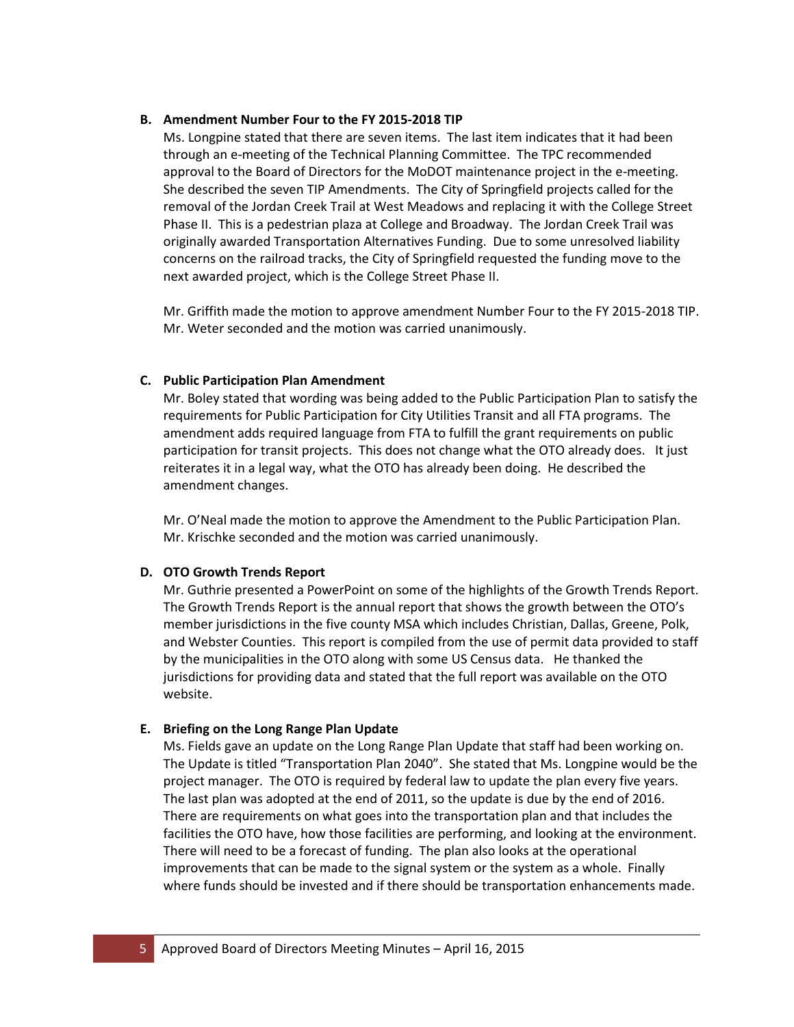#### **B. Amendment Number Four to the FY 2015-2018 TIP**

Ms. Longpine stated that there are seven items. The last item indicates that it had been through an e-meeting of the Technical Planning Committee. The TPC recommended approval to the Board of Directors for the MoDOT maintenance project in the e-meeting. She described the seven TIP Amendments. The City of Springfield projects called for the removal of the Jordan Creek Trail at West Meadows and replacing it with the College Street Phase II. This is a pedestrian plaza at College and Broadway. The Jordan Creek Trail was originally awarded Transportation Alternatives Funding. Due to some unresolved liability concerns on the railroad tracks, the City of Springfield requested the funding move to the next awarded project, which is the College Street Phase II.

Mr. Griffith made the motion to approve amendment Number Four to the FY 2015-2018 TIP. Mr. Weter seconded and the motion was carried unanimously.

# **C. Public Participation Plan Amendment**

Mr. Boley stated that wording was being added to the Public Participation Plan to satisfy the requirements for Public Participation for City Utilities Transit and all FTA programs. The amendment adds required language from FTA to fulfill the grant requirements on public participation for transit projects. This does not change what the OTO already does. It just reiterates it in a legal way, what the OTO has already been doing. He described the amendment changes.

Mr. O'Neal made the motion to approve the Amendment to the Public Participation Plan. Mr. Krischke seconded and the motion was carried unanimously.

# **D. OTO Growth Trends Report**

Mr. Guthrie presented a PowerPoint on some of the highlights of the Growth Trends Report. The Growth Trends Report is the annual report that shows the growth between the OTO's member jurisdictions in the five county MSA which includes Christian, Dallas, Greene, Polk, and Webster Counties. This report is compiled from the use of permit data provided to staff by the municipalities in the OTO along with some US Census data. He thanked the jurisdictions for providing data and stated that the full report was available on the OTO website.

# **E. Briefing on the Long Range Plan Update**

Ms. Fields gave an update on the Long Range Plan Update that staff had been working on. The Update is titled "Transportation Plan 2040". She stated that Ms. Longpine would be the project manager. The OTO is required by federal law to update the plan every five years. The last plan was adopted at the end of 2011, so the update is due by the end of 2016. There are requirements on what goes into the transportation plan and that includes the facilities the OTO have, how those facilities are performing, and looking at the environment. There will need to be a forecast of funding. The plan also looks at the operational improvements that can be made to the signal system or the system as a whole. Finally where funds should be invested and if there should be transportation enhancements made.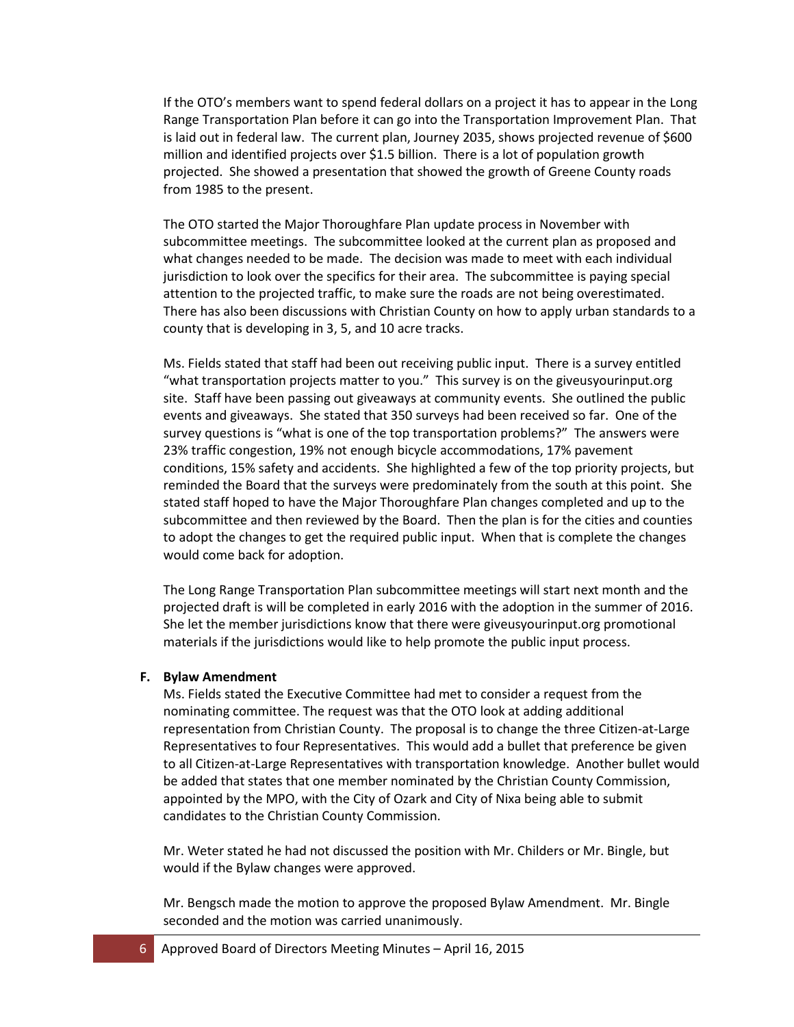If the OTO's members want to spend federal dollars on a project it has to appear in the Long Range Transportation Plan before it can go into the Transportation Improvement Plan. That is laid out in federal law. The current plan, Journey 2035, shows projected revenue of \$600 million and identified projects over \$1.5 billion. There is a lot of population growth projected. She showed a presentation that showed the growth of Greene County roads from 1985 to the present.

The OTO started the Major Thoroughfare Plan update process in November with subcommittee meetings. The subcommittee looked at the current plan as proposed and what changes needed to be made. The decision was made to meet with each individual jurisdiction to look over the specifics for their area. The subcommittee is paying special attention to the projected traffic, to make sure the roads are not being overestimated. There has also been discussions with Christian County on how to apply urban standards to a county that is developing in 3, 5, and 10 acre tracks.

Ms. Fields stated that staff had been out receiving public input. There is a survey entitled "what transportation projects matter to you." This survey is on the giveusyourinput.org site. Staff have been passing out giveaways at community events. She outlined the public events and giveaways. She stated that 350 surveys had been received so far. One of the survey questions is "what is one of the top transportation problems?" The answers were 23% traffic congestion, 19% not enough bicycle accommodations, 17% pavement conditions, 15% safety and accidents. She highlighted a few of the top priority projects, but reminded the Board that the surveys were predominately from the south at this point. She stated staff hoped to have the Major Thoroughfare Plan changes completed and up to the subcommittee and then reviewed by the Board. Then the plan is for the cities and counties to adopt the changes to get the required public input. When that is complete the changes would come back for adoption.

The Long Range Transportation Plan subcommittee meetings will start next month and the projected draft is will be completed in early 2016 with the adoption in the summer of 2016. She let the member jurisdictions know that there were giveusyourinput.org promotional materials if the jurisdictions would like to help promote the public input process.

#### **F. Bylaw Amendment**

Ms. Fields stated the Executive Committee had met to consider a request from the nominating committee. The request was that the OTO look at adding additional representation from Christian County. The proposal is to change the three Citizen-at-Large Representatives to four Representatives. This would add a bullet that preference be given to all Citizen-at-Large Representatives with transportation knowledge. Another bullet would be added that states that one member nominated by the Christian County Commission, appointed by the MPO, with the City of Ozark and City of Nixa being able to submit candidates to the Christian County Commission.

Mr. Weter stated he had not discussed the position with Mr. Childers or Mr. Bingle, but would if the Bylaw changes were approved.

Mr. Bengsch made the motion to approve the proposed Bylaw Amendment. Mr. Bingle seconded and the motion was carried unanimously.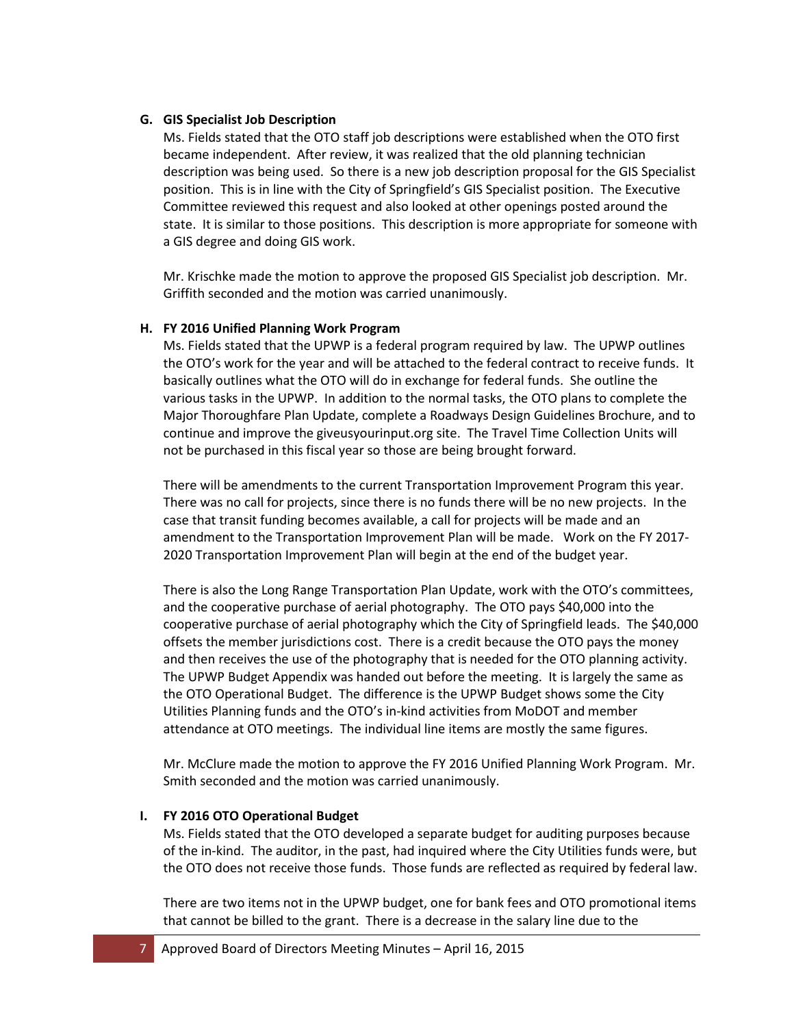# **G. GIS Specialist Job Description**

Ms. Fields stated that the OTO staff job descriptions were established when the OTO first became independent. After review, it was realized that the old planning technician description was being used. So there is a new job description proposal for the GIS Specialist position. This is in line with the City of Springfield's GIS Specialist position. The Executive Committee reviewed this request and also looked at other openings posted around the state. It is similar to those positions. This description is more appropriate for someone with a GIS degree and doing GIS work.

Mr. Krischke made the motion to approve the proposed GIS Specialist job description. Mr. Griffith seconded and the motion was carried unanimously.

# **H. FY 2016 Unified Planning Work Program**

Ms. Fields stated that the UPWP is a federal program required by law. The UPWP outlines the OTO's work for the year and will be attached to the federal contract to receive funds. It basically outlines what the OTO will do in exchange for federal funds. She outline the various tasks in the UPWP. In addition to the normal tasks, the OTO plans to complete the Major Thoroughfare Plan Update, complete a Roadways Design Guidelines Brochure, and to continue and improve the giveusyourinput.org site. The Travel Time Collection Units will not be purchased in this fiscal year so those are being brought forward.

There will be amendments to the current Transportation Improvement Program this year. There was no call for projects, since there is no funds there will be no new projects. In the case that transit funding becomes available, a call for projects will be made and an amendment to the Transportation Improvement Plan will be made. Work on the FY 2017- 2020 Transportation Improvement Plan will begin at the end of the budget year.

There is also the Long Range Transportation Plan Update, work with the OTO's committees, and the cooperative purchase of aerial photography. The OTO pays \$40,000 into the cooperative purchase of aerial photography which the City of Springfield leads. The \$40,000 offsets the member jurisdictions cost. There is a credit because the OTO pays the money and then receives the use of the photography that is needed for the OTO planning activity. The UPWP Budget Appendix was handed out before the meeting. It is largely the same as the OTO Operational Budget. The difference is the UPWP Budget shows some the City Utilities Planning funds and the OTO's in-kind activities from MoDOT and member attendance at OTO meetings. The individual line items are mostly the same figures.

Mr. McClure made the motion to approve the FY 2016 Unified Planning Work Program. Mr. Smith seconded and the motion was carried unanimously.

# **I. FY 2016 OTO Operational Budget**

Ms. Fields stated that the OTO developed a separate budget for auditing purposes because of the in-kind. The auditor, in the past, had inquired where the City Utilities funds were, but the OTO does not receive those funds. Those funds are reflected as required by federal law.

There are two items not in the UPWP budget, one for bank fees and OTO promotional items that cannot be billed to the grant. There is a decrease in the salary line due to the